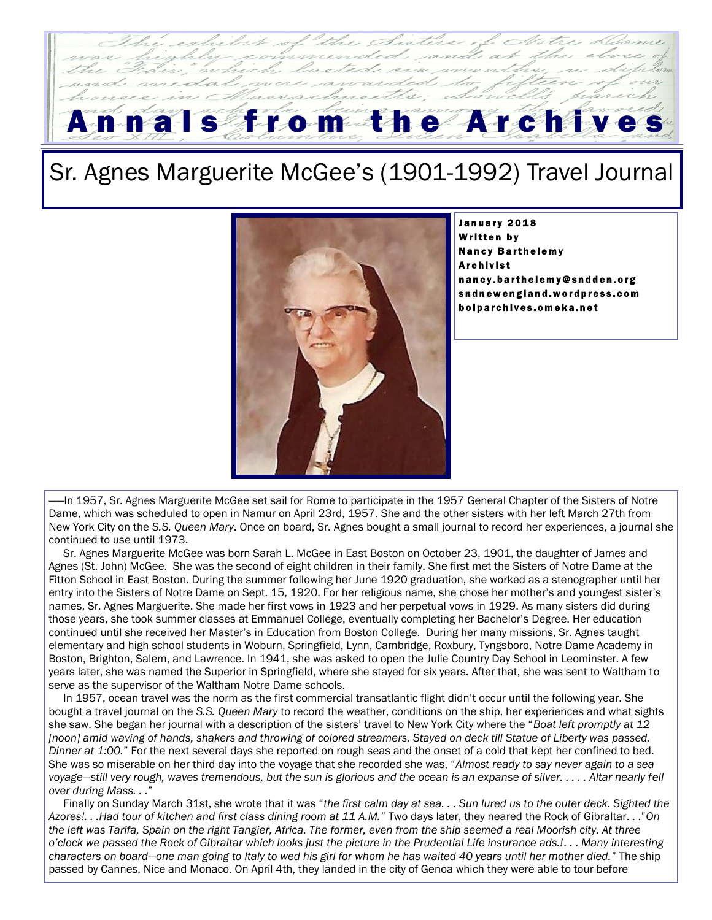## From the Archive

## Sr. Agnes Marguerite McGee's (1901-1992) Travel Journal



January 2018 Written by **Nancy Barthelemy Archivist** nancy.barthelemy@sndden.org sndnewengland.wordpress.com boiparchives.omeka.net

In 1957, Sr. Agnes Marguerite McGee set sail for Rome to participate in the 1957 General Chapter of the Sisters of Notre Dame, which was scheduled to open in Namur on April 23rd, 1957. She and the other sisters with her left March 27th from New York City on the *S.S. Queen Mary*. Once on board, Sr. Agnes bought a small journal to record her experiences, a journal she continued to use until 1973.

 Sr. Agnes Marguerite McGee was born Sarah L. McGee in East Boston on October 23, 1901, the daughter of James and Agnes (St. John) McGee. She was the second of eight children in their family. She first met the Sisters of Notre Dame at the Fitton School in East Boston. During the summer following her June 1920 graduation, she worked as a stenographer until her entry into the Sisters of Notre Dame on Sept. 15, 1920. For her religious name, she chose her mother's and youngest sister's names, Sr. Agnes Marguerite. She made her first vows in 1923 and her perpetual vows in 1929. As many sisters did during those years, she took summer classes at Emmanuel College, eventually completing her Bachelor's Degree. Her education continued until she received her Master's in Education from Boston College. During her many missions, Sr. Agnes taught elementary and high school students in Woburn, Springfield, Lynn, Cambridge, Roxbury, Tyngsboro, Notre Dame Academy in Boston, Brighton, Salem, and Lawrence. In 1941, she was asked to open the Julie Country Day School in Leominster. A few years later, she was named the Superior in Springfield, where she stayed for six years. After that, she was sent to Waltham to serve as the supervisor of the Waltham Notre Dame schools.

 In 1957, ocean travel was the norm as the first commercial transatlantic flight didn't occur until the following year. She bought a travel journal on the *S.S. Queen Mary* to record the weather, conditions on the ship, her experiences and what sights she saw. She began her journal with a description of the sisters' travel to New York City where the "*Boat left promptly at 12*  [noon] amid waving of hands, shakers and throwing of colored streamers. Stayed on deck till Statue of Liberty was passed. *Dinner at 1:00.*" For the next several days she reported on rough seas and the onset of a cold that kept her confined to bed. She was so miserable on her third day into the voyage that she recorded she was, "*Almost ready to say never again to a sea voyage—still very rough, waves tremendous, but the sun is glorious and the ocean is an expanse of silver. . . . . Altar nearly fell over during Mass. . .*"

 Finally on Sunday March 31st, she wrote that it was "*the first calm day at sea. . . Sun lured us to the outer deck. Sighted the Azores!. . .Had tour of kitchen and first class dining room at 11 A.M.*" Two days later, they neared the Rock of Gibraltar. . ."*On the left was Tarifa, Spain on the right Tangier, Africa. The former, even from the ship seemed a real Moorish city. At three o'clock we passed the Rock of Gibraltar which looks just the picture in the Prudential Life insurance ads.!*. . . *Many interesting characters on board—one man going to Italy to wed his girl for whom he has waited 40 years until her mother died.*" The ship passed by Cannes, Nice and Monaco. On April 4th, they landed in the city of Genoa which they were able to tour before